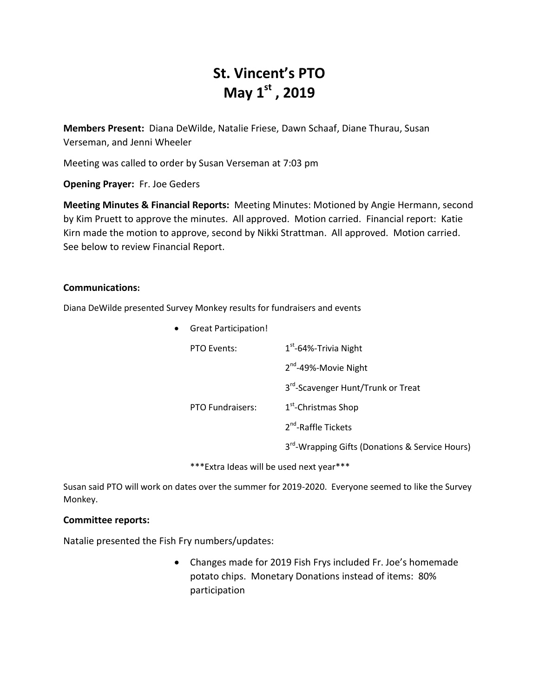# **St. Vincent's PTO May 1st , 2019**

**Members Present:** Diana DeWilde, Natalie Friese, Dawn Schaaf, Diane Thurau, Susan Verseman, and Jenni Wheeler

Meeting was called to order by Susan Verseman at 7:03 pm

**Opening Prayer:** Fr. Joe Geders

**Meeting Minutes & Financial Reports:** Meeting Minutes: Motioned by Angie Hermann, second by Kim Pruett to approve the minutes. All approved. Motion carried. Financial report: Katie Kirn made the motion to approve, second by Nikki Strattman. All approved. Motion carried. See below to review Financial Report.

### **Communications:**

Diana DeWilde presented Survey Monkey results for fundraisers and events

Great Participation!

| PTO Events:             | $1st$ -64%-Trivia Night                                     |  |  |  |
|-------------------------|-------------------------------------------------------------|--|--|--|
|                         | 2 <sup>nd</sup> -49%-Movie Night                            |  |  |  |
|                         | 3rd-Scavenger Hunt/Trunk or Treat                           |  |  |  |
| <b>PTO Fundraisers:</b> | 1 <sup>st</sup> -Christmas Shop                             |  |  |  |
|                         | 2 <sup>nd</sup> -Raffle Tickets                             |  |  |  |
|                         | 3 <sup>rd</sup> -Wrapping Gifts (Donations & Service Hours) |  |  |  |

\*\*\*Extra Ideas will be used next year\*\*\*

Susan said PTO will work on dates over the summer for 2019-2020. Everyone seemed to like the Survey Monkey.

#### **Committee reports:**

Natalie presented the Fish Fry numbers/updates:

 Changes made for 2019 Fish Frys included Fr. Joe's homemade potato chips. Monetary Donations instead of items: 80% participation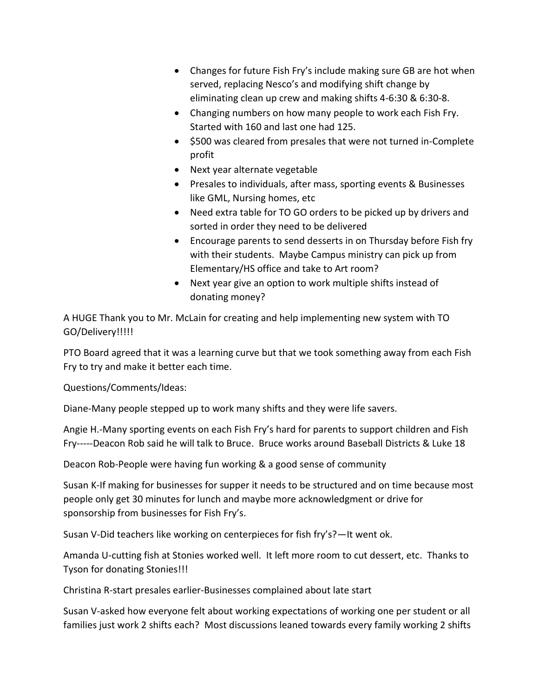- Changes for future Fish Fry's include making sure GB are hot when served, replacing Nesco's and modifying shift change by eliminating clean up crew and making shifts 4-6:30 & 6:30-8.
- Changing numbers on how many people to work each Fish Fry. Started with 160 and last one had 125.
- $\bullet$  \$500 was cleared from presales that were not turned in-Complete profit
- Next year alternate vegetable
- Presales to individuals, after mass, sporting events & Businesses like GML, Nursing homes, etc
- Need extra table for TO GO orders to be picked up by drivers and sorted in order they need to be delivered
- Encourage parents to send desserts in on Thursday before Fish fry with their students. Maybe Campus ministry can pick up from Elementary/HS office and take to Art room?
- Next year give an option to work multiple shifts instead of donating money?

A HUGE Thank you to Mr. McLain for creating and help implementing new system with TO GO/Delivery!!!!!

PTO Board agreed that it was a learning curve but that we took something away from each Fish Fry to try and make it better each time.

Questions/Comments/Ideas:

Diane-Many people stepped up to work many shifts and they were life savers.

Angie H.-Many sporting events on each Fish Fry's hard for parents to support children and Fish Fry-----Deacon Rob said he will talk to Bruce. Bruce works around Baseball Districts & Luke 18

Deacon Rob-People were having fun working & a good sense of community

Susan K-If making for businesses for supper it needs to be structured and on time because most people only get 30 minutes for lunch and maybe more acknowledgment or drive for sponsorship from businesses for Fish Fry's.

Susan V-Did teachers like working on centerpieces for fish fry's?—It went ok.

Amanda U-cutting fish at Stonies worked well. It left more room to cut dessert, etc. Thanks to Tyson for donating Stonies!!!

Christina R-start presales earlier-Businesses complained about late start

Susan V-asked how everyone felt about working expectations of working one per student or all families just work 2 shifts each? Most discussions leaned towards every family working 2 shifts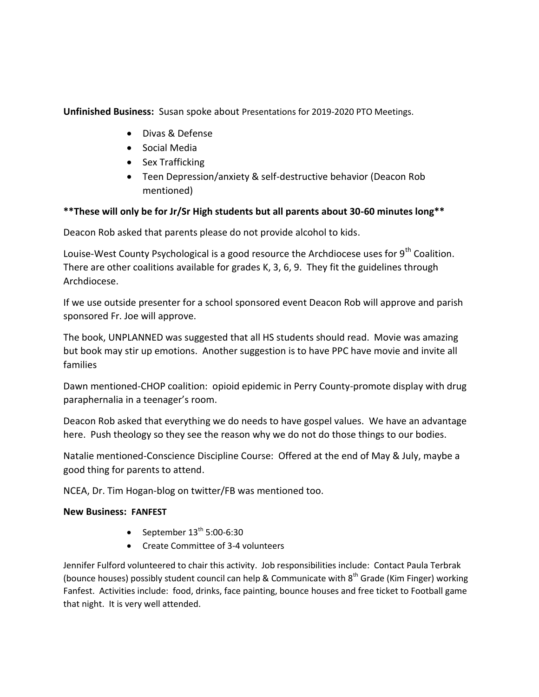**Unfinished Business:** Susan spoke about Presentations for 2019-2020 PTO Meetings.

- Divas & Defense
- Social Media
- Sex Trafficking
- Teen Depression/anxiety & self-destructive behavior (Deacon Rob mentioned)

# **\*\*These will only be for Jr/Sr High students but all parents about 30-60 minutes long\*\***

Deacon Rob asked that parents please do not provide alcohol to kids.

Louise-West County Psychological is a good resource the Archdiocese uses for  $9<sup>th</sup>$  Coalition. There are other coalitions available for grades K, 3, 6, 9. They fit the guidelines through Archdiocese.

If we use outside presenter for a school sponsored event Deacon Rob will approve and parish sponsored Fr. Joe will approve.

The book, UNPLANNED was suggested that all HS students should read. Movie was amazing but book may stir up emotions. Another suggestion is to have PPC have movie and invite all families

Dawn mentioned-CHOP coalition: opioid epidemic in Perry County-promote display with drug paraphernalia in a teenager's room.

Deacon Rob asked that everything we do needs to have gospel values. We have an advantage here. Push theology so they see the reason why we do not do those things to our bodies.

Natalie mentioned-Conscience Discipline Course: Offered at the end of May & July, maybe a good thing for parents to attend.

NCEA, Dr. Tim Hogan-blog on twitter/FB was mentioned too.

# **New Business: FANFEST**

- September  $13^{th}$  5:00-6:30
- Create Committee of 3-4 volunteers

Jennifer Fulford volunteered to chair this activity. Job responsibilities include: Contact Paula Terbrak (bounce houses) possibly student council can help & Communicate with  $8<sup>th</sup>$  Grade (Kim Finger) working Fanfest. Activities include: food, drinks, face painting, bounce houses and free ticket to Football game that night. It is very well attended.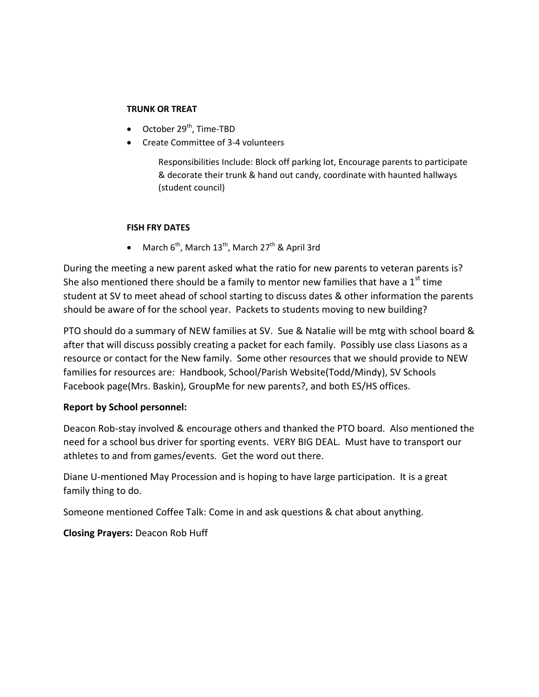### **TRUNK OR TREAT**

- $\bullet$  October 29<sup>th</sup>, Time-TBD
- Create Committee of 3-4 volunteers

Responsibilities Include: Block off parking lot, Encourage parents to participate & decorate their trunk & hand out candy, coordinate with haunted hallways (student council)

### **FISH FRY DATES**

• March  $6^{th}$ , March  $13^{th}$ , March  $27^{th}$  & April 3rd

During the meeting a new parent asked what the ratio for new parents to veteran parents is? She also mentioned there should be a family to mentor new families that have a  $1<sup>st</sup>$  time student at SV to meet ahead of school starting to discuss dates & other information the parents should be aware of for the school year. Packets to students moving to new building?

PTO should do a summary of NEW families at SV. Sue & Natalie will be mtg with school board & after that will discuss possibly creating a packet for each family. Possibly use class Liasons as a resource or contact for the New family. Some other resources that we should provide to NEW families for resources are: Handbook, School/Parish Website(Todd/Mindy), SV Schools Facebook page(Mrs. Baskin), GroupMe for new parents?, and both ES/HS offices.

# **Report by School personnel:**

Deacon Rob-stay involved & encourage others and thanked the PTO board. Also mentioned the need for a school bus driver for sporting events. VERY BIG DEAL. Must have to transport our athletes to and from games/events. Get the word out there.

Diane U-mentioned May Procession and is hoping to have large participation. It is a great family thing to do.

Someone mentioned Coffee Talk: Come in and ask questions & chat about anything.

**Closing Prayers:** Deacon Rob Huff